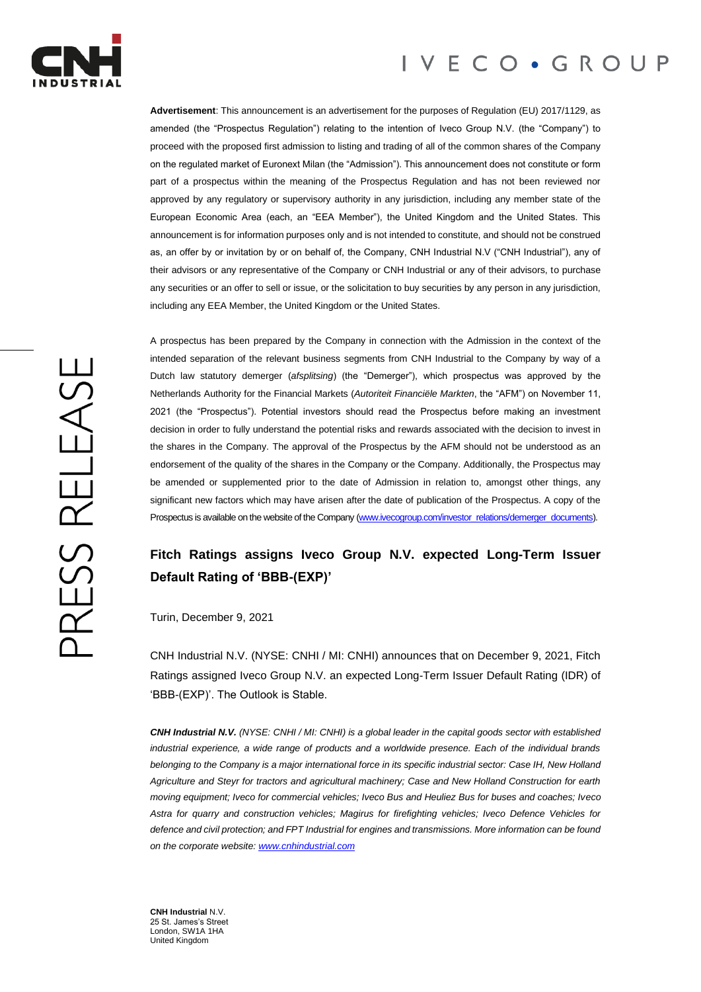

# IVECO · GROUP

**Advertisement**: This announcement is an advertisement for the purposes of Regulation (EU) 2017/1129, as amended (the "Prospectus Regulation") relating to the intention of Iveco Group N.V. (the "Company") to proceed with the proposed first admission to listing and trading of all of the common shares of the Company on the regulated market of Euronext Milan (the "Admission"). This announcement does not constitute or form part of a prospectus within the meaning of the Prospectus Regulation and has not been reviewed nor approved by any regulatory or supervisory authority in any jurisdiction, including any member state of the European Economic Area (each, an "EEA Member"), the United Kingdom and the United States. This announcement is for information purposes only and is not intended to constitute, and should not be construed as, an offer by or invitation by or on behalf of, the Company, CNH Industrial N.V ("CNH Industrial"), any of their advisors or any representative of the Company or CNH Industrial or any of their advisors, to purchase any securities or an offer to sell or issue, or the solicitation to buy securities by any person in any jurisdiction, including any EEA Member, the United Kingdom or the United States.

A prospectus has been prepared by the Company in connection with the Admission in the context of the intended separation of the relevant business segments from CNH Industrial to the Company by way of a Dutch law statutory demerger (*afsplitsing*) (the "Demerger"), which prospectus was approved by the Netherlands Authority for the Financial Markets (*Autoriteit Financiële Markten*, the "AFM") on November 11, 2021 (the "Prospectus"). Potential investors should read the Prospectus before making an investment decision in order to fully understand the potential risks and rewards associated with the decision to invest in the shares in the Company. The approval of the Prospectus by the AFM should not be understood as an endorsement of the quality of the shares in the Company or the Company. Additionally, the Prospectus may be amended or supplemented prior to the date of Admission in relation to, amongst other things, any significant new factors which may have arisen after the date of publication of the Prospectus. A copy of the Prospectus is available on the website of the Company [\(www.ivecogroup.com/investor\\_relations/demerger\\_documents\).](http://www.ivecogroup.com/investor_relations/demerger_documents)

# **Fitch Ratings assigns Iveco Group N.V. expected Long-Term Issuer Default Rating of 'BBB-(EXP)'**

Turin, December 9, 2021

CNH Industrial N.V. (NYSE: CNHI / MI: CNHI) announces that on December 9, 2021, Fitch Ratings assigned Iveco Group N.V. an expected Long-Term Issuer Default Rating (IDR) of 'BBB-(EXP)'. The Outlook is Stable.

*CNH Industrial N.V. (NYSE: CNHI / MI: CNHI) is a global leader in the capital goods sector with established industrial experience, a wide range of products and a worldwide presence. Each of the individual brands belonging to the Company is a major international force in its specific industrial sector: Case IH, New Holland Agriculture and Steyr for tractors and agricultural machinery; Case and New Holland Construction for earth moving equipment; Iveco for commercial vehicles; Iveco Bus and Heuliez Bus for buses and coaches; Iveco Astra for quarry and construction vehicles; Magirus for firefighting vehicles; Iveco Defence Vehicles for defence and civil protection; and FPT Industrial for engines and transmissions. More information can be found on the corporate website[: www.cnhindustrial.com](http://www.cnhindustrial.com/)*

**CNH Industrial** N.V. 25 St. James's Street London, SW1A 1HA United Kingdom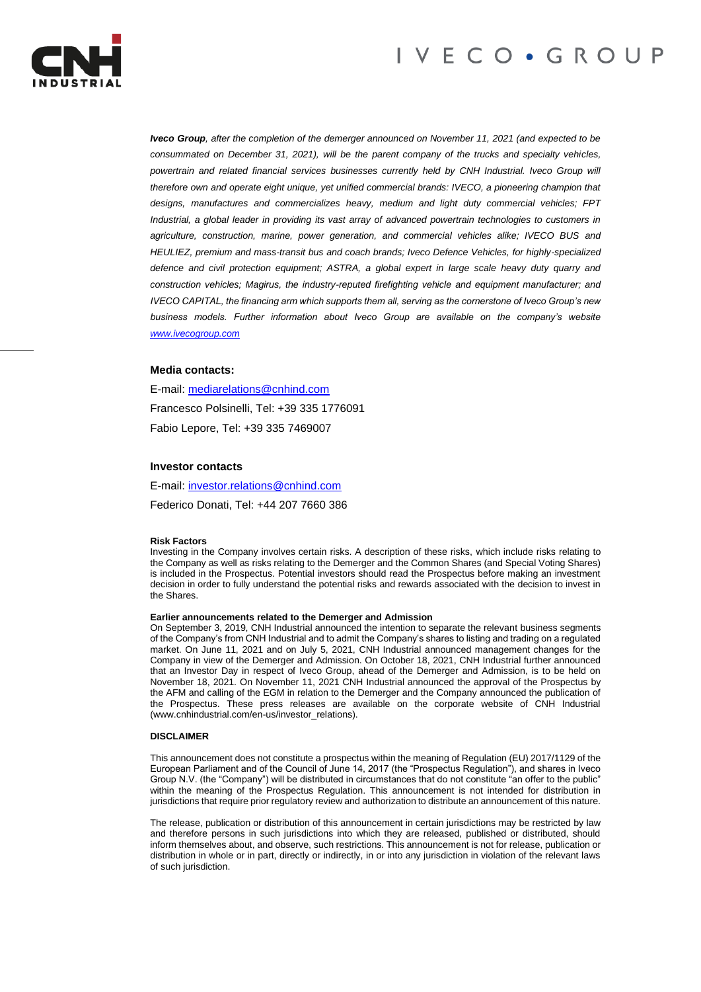



*Iveco Group, after the completion of the demerger announced on November 11, 2021 (and expected to be consummated on December 31, 2021), will be the parent company of the trucks and specialty vehicles,*  powertrain and related financial services businesses currently held by CNH Industrial. Iveco Group will *therefore own and operate eight unique, yet unified commercial brands: IVECO, a pioneering champion that designs, manufactures and commercializes heavy, medium and light duty commercial vehicles; FPT Industrial, a global leader in providing its vast array of advanced powertrain technologies to customers in agriculture, construction, marine, power generation, and commercial vehicles alike; IVECO BUS and HEULIEZ, premium and mass-transit bus and coach brands; Iveco Defence Vehicles, for highly-specialized defence and civil protection equipment; ASTRA, a global expert in large scale heavy duty quarry and construction vehicles; Magirus, the industry-reputed firefighting vehicle and equipment manufacturer; and IVECO CAPITAL, the financing arm which supports them all, serving as the cornerstone of Iveco Group's new business models. Further information about Iveco Group are available on the company's website [www.ivecogroup.com](http://www.ivecogroup.com/)*

# **Media contacts:**

E-mail: [mediarelations@cnhind.com](mailto:mediarelations@cnhind.com) Francesco Polsinelli, Tel: +39 335 1776091 Fabio Lepore, Tel: +39 335 7469007

# **Investor contacts**

E-mail: [investor.relations@cnhind.com](mailto:investor.relations@cnhind.com)

Federico Donati, Tel: +44 207 7660 386

### **Risk Factors**

Investing in the Company involves certain risks. A description of these risks, which include risks relating to the Company as well as risks relating to the Demerger and the Common Shares (and Special Voting Shares) is included in the Prospectus. Potential investors should read the Prospectus before making an investment decision in order to fully understand the potential risks and rewards associated with the decision to invest in the Shares.

#### **Earlier announcements related to the Demerger and Admission**

On September 3, 2019, CNH Industrial announced the intention to separate the relevant business segments of the Company's from CNH Industrial and to admit the Company's shares to listing and trading on a regulated market. On June 11, 2021 and on July 5, 2021, CNH Industrial announced management changes for the Company in view of the Demerger and Admission. On October 18, 2021, CNH Industrial further announced that an Investor Day in respect of Iveco Group, ahead of the Demerger and Admission, is to be held on November 18, 2021. On November 11, 2021 CNH Industrial announced the approval of the Prospectus by the AFM and calling of the EGM in relation to the Demerger and the Company announced the publication of the Prospectus. These press releases are available on the corporate website of CNH Industrial (www.cnhindustrial.com/en-us/investor\_relations).

#### **DISCLAIMER**

This announcement does not constitute a prospectus within the meaning of Regulation (EU) 2017/1129 of the European Parliament and of the Council of June 14, 2017 (the "Prospectus Regulation"), and shares in Iveco Group N.V. (the "Company") will be distributed in circumstances that do not constitute "an offer to the public" within the meaning of the Prospectus Regulation. This announcement is not intended for distribution in jurisdictions that require prior regulatory review and authorization to distribute an announcement of this nature.

The release, publication or distribution of this announcement in certain jurisdictions may be restricted by law and therefore persons in such jurisdictions into which they are released, published or distributed, should inform themselves about, and observe, such restrictions. This announcement is not for release, publication or distribution in whole or in part, directly or indirectly, in or into any jurisdiction in violation of the relevant laws of such jurisdiction.